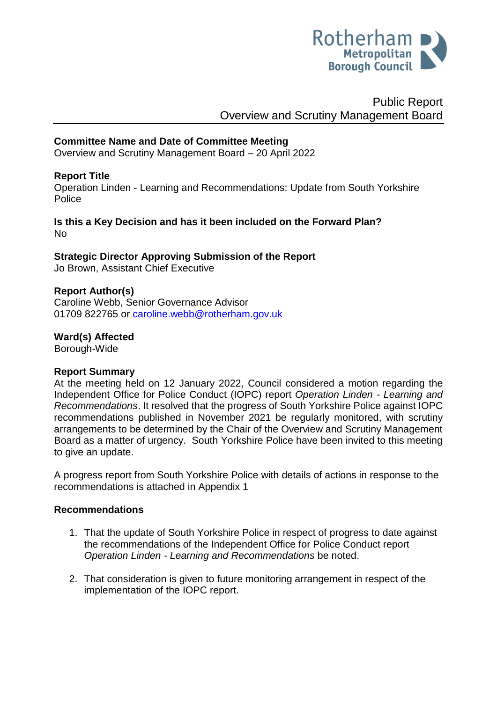

# Public Report Overview and Scrutiny Management Board

### **Committee Name and Date of Committee Meeting**

Overview and Scrutiny Management Board – 20 April 2022

### **Report Title**

Operation Linden - Learning and Recommendations: Update from South Yorkshire **Police** 

**Is this a Key Decision and has it been included on the Forward Plan?**  No

# **Strategic Director Approving Submission of the Report**

Jo Brown, Assistant Chief Executive

### **Report Author(s)**

<span id="page-0-0"></span>Caroline Webb, Senior Governance Advisor 01709 822765 or [caroline.webb@rotherham.gov.uk](mailto:caroline.webb@rotherham.gov.uk)

### **Ward(s) Affected**

Borough-Wide

#### **Report Summary**

At the meeting held on 12 January 2022, Council considered a motion regarding the Independent Office for Police Conduct (IOPC) report *Operation Linden - Learning and Recommendations*. It resolved that the progress of South Yorkshire Police against IOPC recommendations published in November 2021 be regularly monitored, with scrutiny arrangements to be determined by the Chair of the Overview and Scrutiny Management Board as a matter of urgency. South Yorkshire Police have been invited to this meeting to give an update.

A progress report from South Yorkshire Police with details of actions in response to the recommendations is attached in Appendix 1

#### **Recommendations**

- 1. That the update of South Yorkshire Police in respect of progress to date against the recommendations of the Independent Office for Police Conduct report *Operation Linden - Learning and Recommendations* be noted.
- 2. That consideration is given to future monitoring arrangement in respect of the implementation of the IOPC report.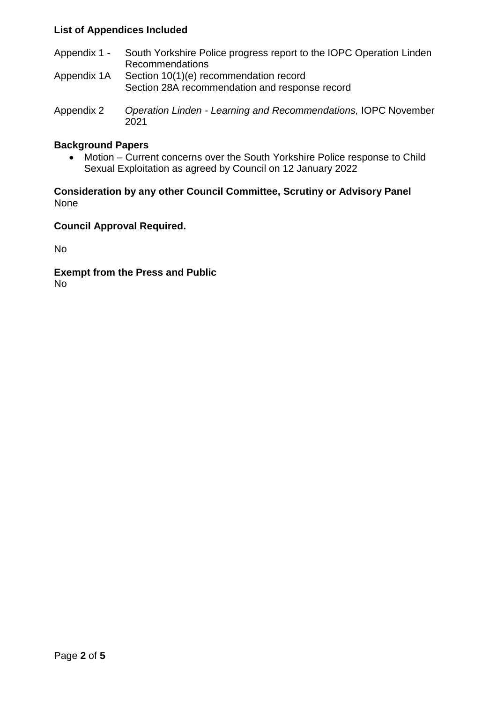# **List of Appendices Included**

- Appendix 1 South Yorkshire Police progress report to the IOPC Operation Linden Recommendations
- Appendix 1A Section 10(1)(e) recommendation record Section 28A recommendation and response record
- Appendix 2 *Operation Linden - Learning and Recommendations,* IOPC November 2021

### **Background Papers**

 Motion – Current concerns over the South Yorkshire Police response to Child Sexual Exploitation as agreed by Council on 12 January 2022

### **Consideration by any other Council Committee, Scrutiny or Advisory Panel** None

## **Council Approval Required.**

No

**Exempt from the Press and Public** No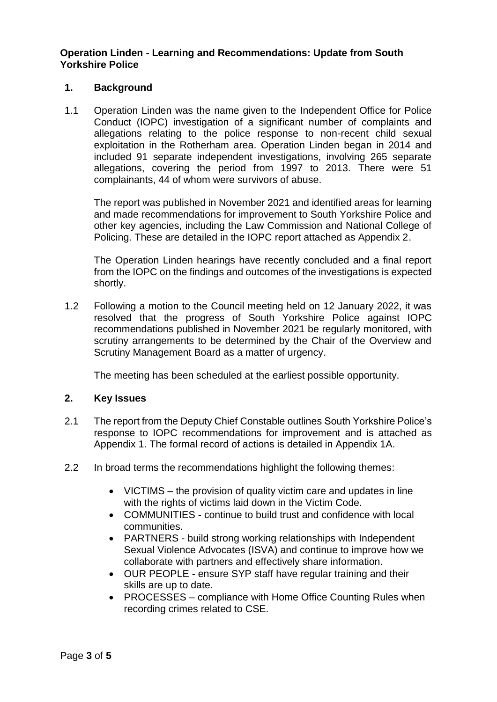### **Operation Linden - Learning and Recommendations: Update from South Yorkshire Police**

### **1. Background**

1.1 Operation Linden was the name given to the Independent Office for Police Conduct (IOPC) investigation of a significant number of complaints and allegations relating to the police response to non-recent child sexual exploitation in the Rotherham area. Operation Linden began in 2014 and included 91 separate independent investigations, involving 265 separate allegations, covering the period from 1997 to 2013. There were 51 complainants, 44 of whom were survivors of abuse.

The report was published in November 2021 and identified areas for learning and made recommendations for improvement to South Yorkshire Police and other key agencies, including the Law Commission and National College of Policing. These are detailed in the IOPC report attached as Appendix 2.

The Operation Linden hearings have recently concluded and a final report from the IOPC on the findings and outcomes of the investigations is expected shortly.

1.2 Following a motion to the Council meeting held on 12 January 2022, it was resolved that the progress of South Yorkshire Police against IOPC recommendations published in November 2021 be regularly monitored, with scrutiny arrangements to be determined by the Chair of the Overview and Scrutiny Management Board as a matter of urgency.

The meeting has been scheduled at the earliest possible opportunity.

#### **2. Key Issues**

- 2.1 The report from the Deputy Chief Constable outlines South Yorkshire Police's response to IOPC recommendations for improvement and is attached as Appendix 1. The formal record of actions is detailed in Appendix 1A.
- 2.2 In broad terms the recommendations highlight the following themes:
	- VICTIMS the provision of quality victim care and updates in line with the rights of victims laid down in the Victim Code.
	- COMMUNITIES continue to build trust and confidence with local communities.
	- PARTNERS build strong working relationships with Independent Sexual Violence Advocates (ISVA) and continue to improve how we collaborate with partners and effectively share information.
	- OUR PEOPLE ensure SYP staff have regular training and their skills are up to date.
	- PROCESSES compliance with Home Office Counting Rules when recording crimes related to CSE.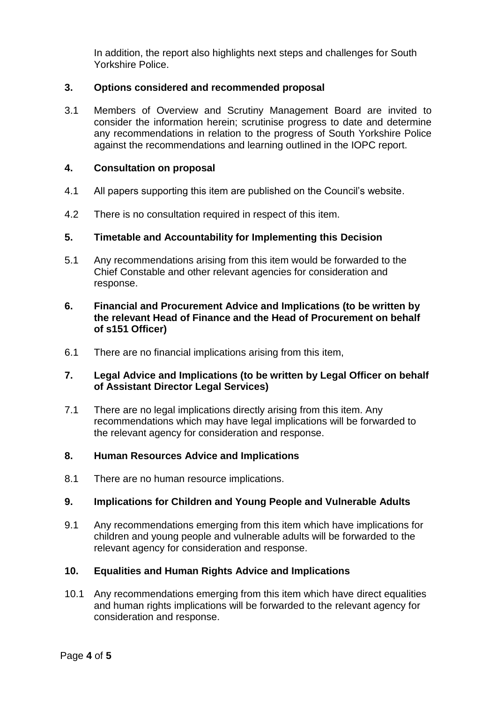In addition, the report also highlights next steps and challenges for South Yorkshire Police.

### **3. Options considered and recommended proposal**

3.1 Members of Overview and Scrutiny Management Board are invited to consider the information herein; scrutinise progress to date and determine any recommendations in relation to the progress of South Yorkshire Police against the recommendations and learning outlined in the IOPC report.

### **4. Consultation on proposal**

- 4.1 All papers supporting this item are published on the Council's website.
- 4.2 There is no consultation required in respect of this item.

### **5. Timetable and Accountability for Implementing this Decision**

5.1 Any recommendations arising from this item would be forwarded to the Chief Constable and other relevant agencies for consideration and response.

### **6. Financial and Procurement Advice and Implications (to be written by the relevant Head of Finance and the Head of Procurement on behalf of s151 Officer)**

6.1 There are no financial implications arising from this item,

### **7. Legal Advice and Implications (to be written by Legal Officer on behalf of Assistant Director Legal Services)**

7.1 There are no legal implications directly arising from this item. Any recommendations which may have legal implications will be forwarded to the relevant agency for consideration and response.

## **8. Human Resources Advice and Implications**

8.1 There are no human resource implications.

### **9. Implications for Children and Young People and Vulnerable Adults**

9.1 Any recommendations emerging from this item which have implications for children and young people and vulnerable adults will be forwarded to the relevant agency for consideration and response.

### **10. Equalities and Human Rights Advice and Implications**

10.1 Any recommendations emerging from this item which have direct equalities and human rights implications will be forwarded to the relevant agency for consideration and response.